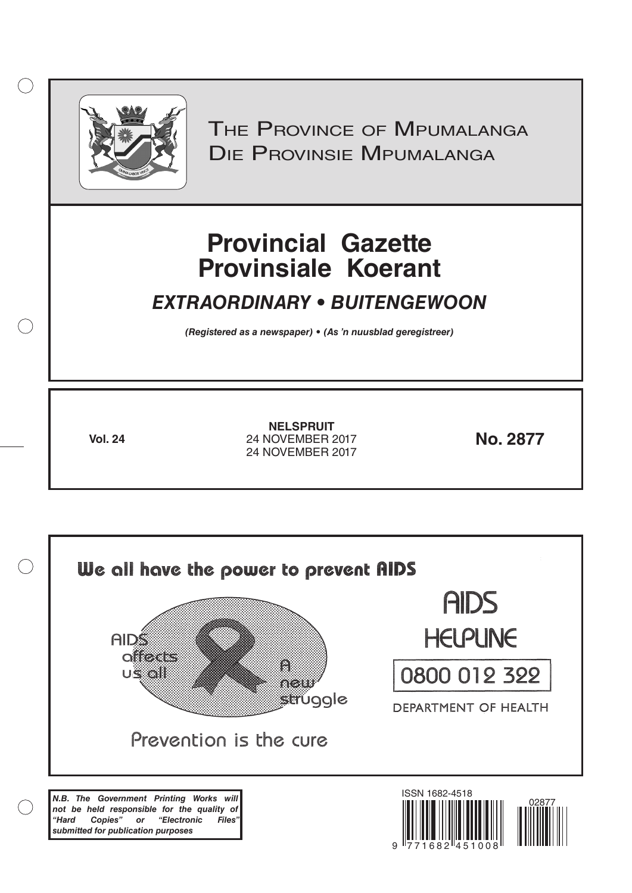

 $( )$ 

THE PROVINCE OF MPUMALANGA Die Provinsie Mpumalanga

# **Provincial Gazette Provinsiale Koerant**

# *EXTRAORDINARY • BUITENGEWOON*

*(Registered as a newspaper) • (As 'n nuusblad geregistreer)*

**Vol. 24 No. 2877** 24 NOVEMBER 2017 **NELSPRUIT** 24 NOVEMBER 2017

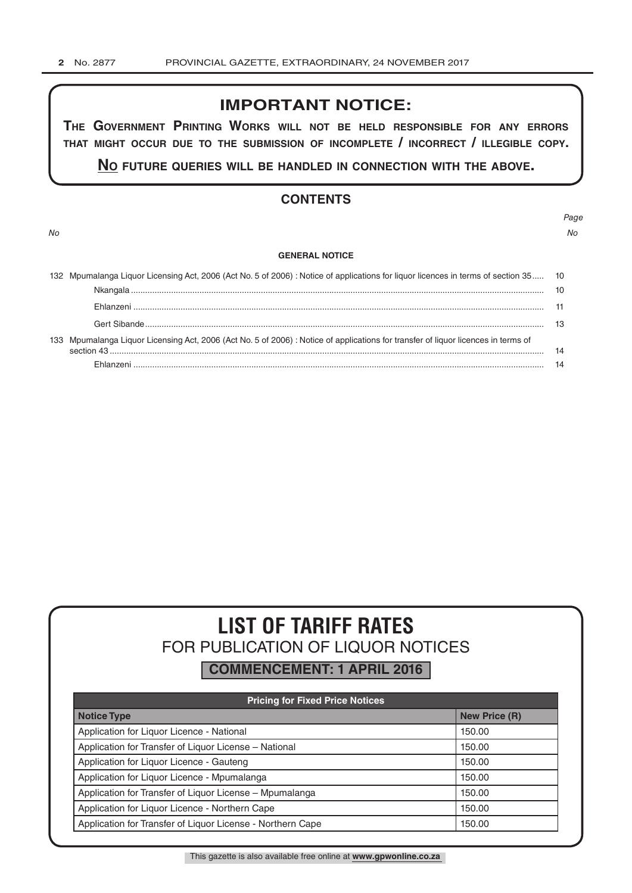# **IMPORTANT NOTICE:**

**The GovernmenT PrinTinG Works Will noT be held resPonsible for any errors ThaT miGhT occur due To The submission of incomPleTe / incorrecT / illeGible coPy.**

**no fuTure queries Will be handled in connecTion WiTh The above.**

# **CONTENTS**

*No No*

*Page*

#### **GENERAL NOTICE**

| 132 Mpumalanga Liquor Licensing Act, 2006 (Act No. 5 of 2006) : Notice of applications for liquor licences in terms of section 35 10 |    |
|--------------------------------------------------------------------------------------------------------------------------------------|----|
|                                                                                                                                      |    |
|                                                                                                                                      |    |
|                                                                                                                                      | 13 |
| 133 Mpumalanga Liquor Licensing Act, 2006 (Act No. 5 of 2006) : Notice of applications for transfer of liquor licences in terms of   |    |
|                                                                                                                                      | 14 |

# **LIST OF TARIFF RATES** FOR PUBLICATION OF LIQUOR NOTICES

**COMMENCEMENT: 1 APRIL 2016**

| <b>Pricing for Fixed Price Notices</b>                     |                      |  |  |  |
|------------------------------------------------------------|----------------------|--|--|--|
| <b>Notice Type</b>                                         | <b>New Price (R)</b> |  |  |  |
| Application for Liquor Licence - National                  | 150.00               |  |  |  |
| Application for Transfer of Liquor License - National      | 150.00               |  |  |  |
| Application for Liquor Licence - Gauteng                   | 150.00               |  |  |  |
| Application for Liquor Licence - Mpumalanga                | 150.00               |  |  |  |
| Application for Transfer of Liquor License - Mpumalanga    | 150.00               |  |  |  |
| Application for Liquor Licence - Northern Cape             | 150.00               |  |  |  |
| Application for Transfer of Liquor License - Northern Cape | 150.00               |  |  |  |

This gazette is also available free online at **www.gpwonline.co.za**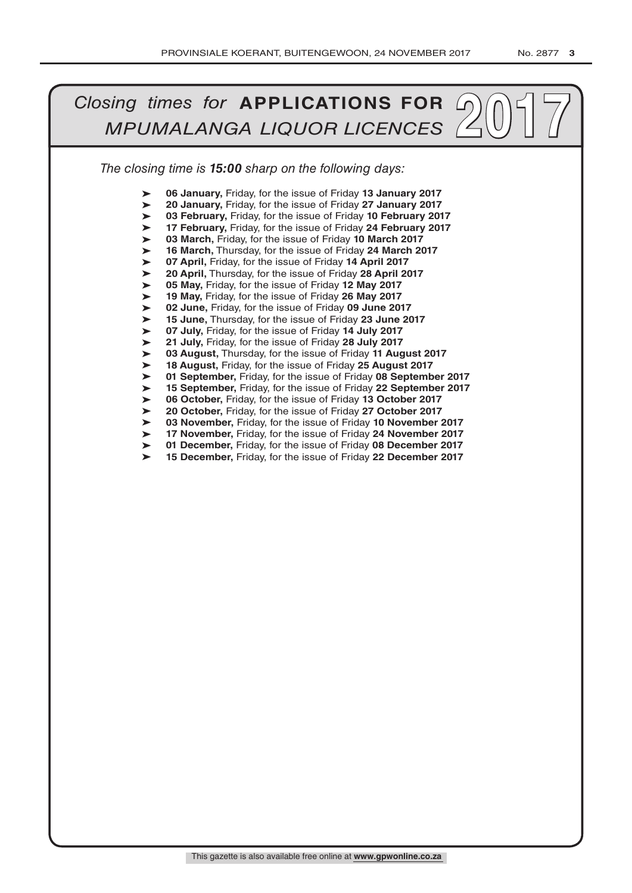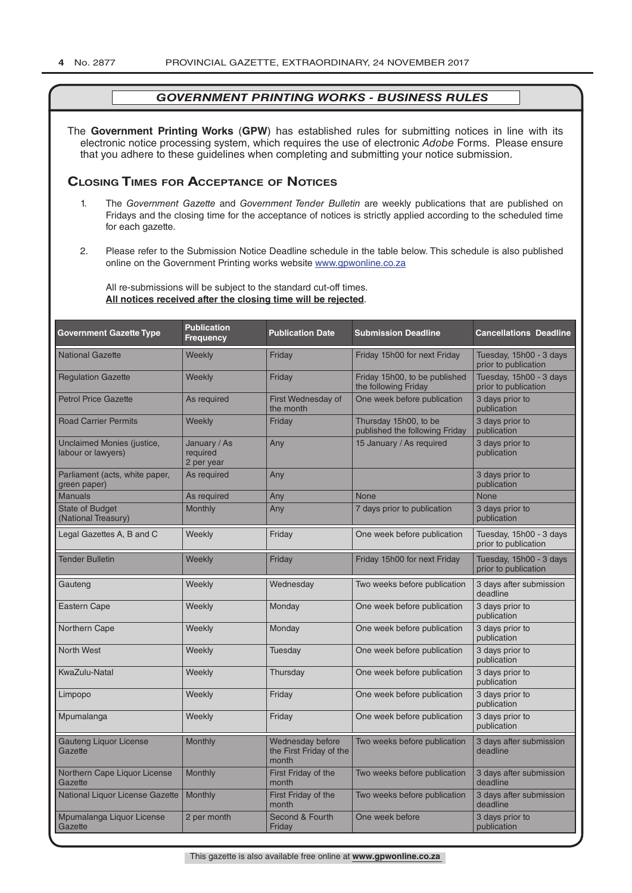The **Government Printing Works** (**GPW**) has established rules for submitting notices in line with its electronic notice processing system, which requires the use of electronic *Adobe* Forms. Please ensure that you adhere to these guidelines when completing and submitting your notice submission.

# **Closing Times for ACCepTAnCe of noTiCes**

- 1. The *Government Gazette* and *Government Tender Bulletin* are weekly publications that are published on Fridays and the closing time for the acceptance of notices is strictly applied according to the scheduled time for each gazette.
- 2. Please refer to the Submission Notice Deadline schedule in the table below. This schedule is also published online on the Government Printing works website www.gpwonline.co.za

All re-submissions will be subject to the standard cut-off times. **All notices received after the closing time will be rejected**.

| <b>Government Gazette Type</b>                          | <b>Publication</b><br><b>Frequency</b> | <b>Publication Date</b>                              | <b>Submission Deadline</b>                              | <b>Cancellations Deadline</b>                   |
|---------------------------------------------------------|----------------------------------------|------------------------------------------------------|---------------------------------------------------------|-------------------------------------------------|
| <b>National Gazette</b>                                 | Weekly                                 | Friday                                               | Friday 15h00 for next Friday                            | Tuesday, 15h00 - 3 days<br>prior to publication |
| <b>Regulation Gazette</b>                               | Weekly                                 | Friday                                               | Friday 15h00, to be published<br>the following Friday   | Tuesday, 15h00 - 3 days<br>prior to publication |
| <b>Petrol Price Gazette</b>                             | As required                            | First Wednesday of<br>the month                      | One week before publication                             | 3 days prior to<br>publication                  |
| <b>Road Carrier Permits</b>                             | Weekly                                 | Friday                                               | Thursday 15h00, to be<br>published the following Friday | 3 days prior to<br>publication                  |
| <b>Unclaimed Monies (justice,</b><br>labour or lawyers) | January / As<br>required<br>2 per year | Any                                                  | 15 January / As required                                | 3 days prior to<br>publication                  |
| Parliament (acts, white paper,<br>green paper)          | As required                            | Any                                                  |                                                         | 3 days prior to<br>publication                  |
| <b>Manuals</b>                                          | As required                            | Any                                                  | <b>None</b>                                             | <b>None</b>                                     |
| <b>State of Budget</b><br>(National Treasury)           | <b>Monthly</b>                         | Any                                                  | 7 days prior to publication                             | 3 days prior to<br>publication                  |
| Legal Gazettes A, B and C                               | Weekly                                 | Friday                                               | One week before publication                             | Tuesday, 15h00 - 3 days<br>prior to publication |
| <b>Tender Bulletin</b>                                  | Weekly                                 | Friday                                               | Friday 15h00 for next Friday                            | Tuesday, 15h00 - 3 days<br>prior to publication |
| Gauteng                                                 | Weekly                                 | Wednesday                                            | Two weeks before publication                            | 3 days after submission<br>deadline             |
| <b>Eastern Cape</b>                                     | Weekly                                 | Monday                                               | One week before publication                             | 3 days prior to<br>publication                  |
| Northern Cape                                           | Weekly                                 | Monday                                               | One week before publication                             | 3 days prior to<br>publication                  |
| <b>North West</b>                                       | Weekly                                 | Tuesday                                              | One week before publication                             | 3 days prior to<br>publication                  |
| KwaZulu-Natal                                           | Weekly                                 | Thursday                                             | One week before publication                             | 3 days prior to<br>publication                  |
| Limpopo                                                 | Weekly                                 | Friday                                               | One week before publication                             | 3 days prior to<br>publication                  |
| Mpumalanga                                              | Weekly                                 | Friday                                               | One week before publication                             | 3 days prior to<br>publication                  |
| <b>Gauteng Liquor License</b><br>Gazette                | Monthly                                | Wednesday before<br>the First Friday of the<br>month | Two weeks before publication                            | 3 days after submission<br>deadline             |
| Northern Cape Liquor License<br>Gazette                 | Monthly                                | First Friday of the<br>month                         | Two weeks before publication                            | 3 days after submission<br>deadline             |
| National Liquor License Gazette                         | Monthly                                | First Friday of the<br>month                         | Two weeks before publication                            | 3 days after submission<br>deadline             |
| Mpumalanga Liquor License<br>Gazette                    | 2 per month                            | Second & Fourth<br>Friday                            | One week before                                         | 3 days prior to<br>publication                  |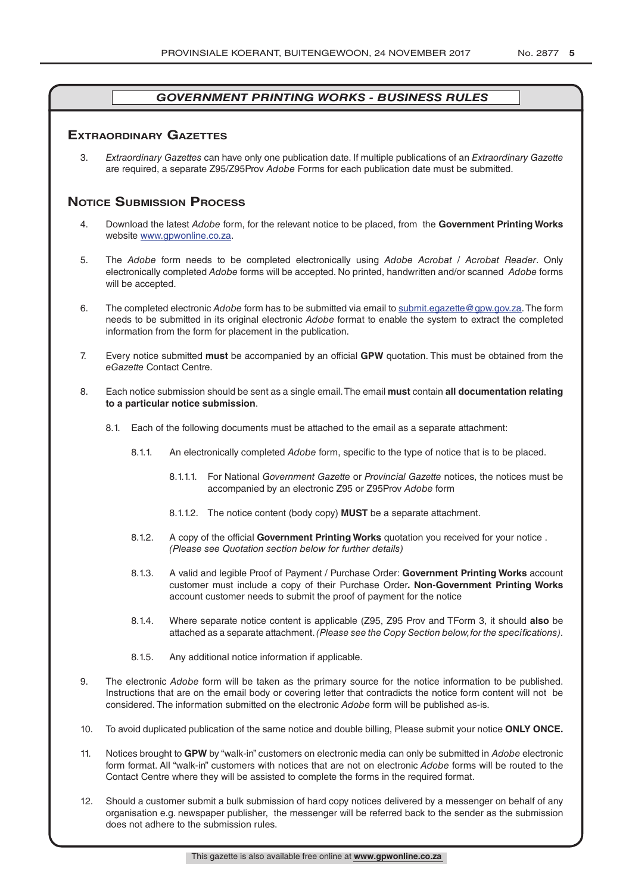# **exTrAordinAry gAzeTTes**

3. *Extraordinary Gazettes* can have only one publication date. If multiple publications of an *Extraordinary Gazette* are required, a separate Z95/Z95Prov *Adobe* Forms for each publication date must be submitted.

# **NOTICE SUBMISSION PROCESS**

- 4. Download the latest *Adobe* form, for the relevant notice to be placed, from the **Government Printing Works** website www.gpwonline.co.za.
- 5. The *Adobe* form needs to be completed electronically using *Adobe Acrobat* / *Acrobat Reader*. Only electronically completed *Adobe* forms will be accepted. No printed, handwritten and/or scanned *Adobe* forms will be accepted.
- 6. The completed electronic *Adobe* form has to be submitted via email to submit.egazette@gpw.gov.za. The form needs to be submitted in its original electronic *Adobe* format to enable the system to extract the completed information from the form for placement in the publication.
- 7. Every notice submitted **must** be accompanied by an official **GPW** quotation. This must be obtained from the *eGazette* Contact Centre.
- 8. Each notice submission should be sent as a single email. The email **must** contain **all documentation relating to a particular notice submission**.
	- 8.1. Each of the following documents must be attached to the email as a separate attachment:
		- 8.1.1. An electronically completed *Adobe* form, specific to the type of notice that is to be placed.
			- 8.1.1.1. For National *Government Gazette* or *Provincial Gazette* notices, the notices must be accompanied by an electronic Z95 or Z95Prov *Adobe* form
			- 8.1.1.2. The notice content (body copy) **MUST** be a separate attachment.
		- 8.1.2. A copy of the official **Government Printing Works** quotation you received for your notice . *(Please see Quotation section below for further details)*
		- 8.1.3. A valid and legible Proof of Payment / Purchase Order: **Government Printing Works** account customer must include a copy of their Purchase Order*.* **Non**-**Government Printing Works** account customer needs to submit the proof of payment for the notice
		- 8.1.4. Where separate notice content is applicable (Z95, Z95 Prov and TForm 3, it should **also** be attached as a separate attachment. *(Please see the Copy Section below, for the specifications)*.
		- 8.1.5. Any additional notice information if applicable.
- 9. The electronic *Adobe* form will be taken as the primary source for the notice information to be published. Instructions that are on the email body or covering letter that contradicts the notice form content will not be considered. The information submitted on the electronic *Adobe* form will be published as-is.
- 10. To avoid duplicated publication of the same notice and double billing, Please submit your notice **ONLY ONCE.**
- 11. Notices brought to **GPW** by "walk-in" customers on electronic media can only be submitted in *Adobe* electronic form format. All "walk-in" customers with notices that are not on electronic *Adobe* forms will be routed to the Contact Centre where they will be assisted to complete the forms in the required format.
- 12. Should a customer submit a bulk submission of hard copy notices delivered by a messenger on behalf of any organisation e.g. newspaper publisher, the messenger will be referred back to the sender as the submission does not adhere to the submission rules.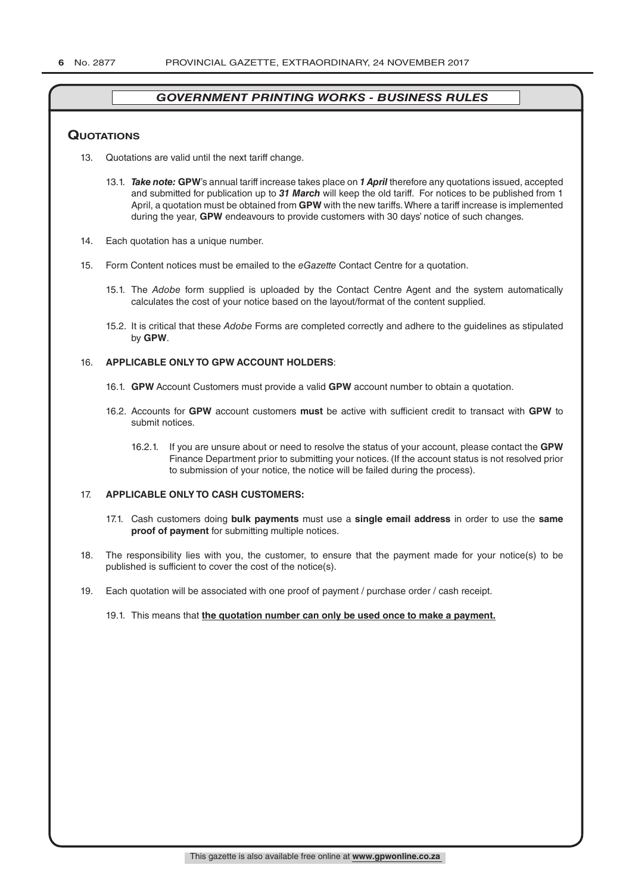#### **QuoTATions**

- 13. Quotations are valid until the next tariff change.
	- 13.1. *Take note:* **GPW**'s annual tariff increase takes place on *1 April* therefore any quotations issued, accepted and submitted for publication up to *31 March* will keep the old tariff. For notices to be published from 1 April, a quotation must be obtained from **GPW** with the new tariffs. Where a tariff increase is implemented during the year, **GPW** endeavours to provide customers with 30 days' notice of such changes.
- 14. Each quotation has a unique number.
- 15. Form Content notices must be emailed to the *eGazette* Contact Centre for a quotation.
	- 15.1. The *Adobe* form supplied is uploaded by the Contact Centre Agent and the system automatically calculates the cost of your notice based on the layout/format of the content supplied.
	- 15.2. It is critical that these *Adobe* Forms are completed correctly and adhere to the guidelines as stipulated by **GPW**.

#### 16. **APPLICABLE ONLY TO GPW ACCOUNT HOLDERS**:

- 16.1. **GPW** Account Customers must provide a valid **GPW** account number to obtain a quotation.
- 16.2. Accounts for **GPW** account customers **must** be active with sufficient credit to transact with **GPW** to submit notices.
	- 16.2.1. If you are unsure about or need to resolve the status of your account, please contact the **GPW** Finance Department prior to submitting your notices. (If the account status is not resolved prior to submission of your notice, the notice will be failed during the process).

#### 17. **APPLICABLE ONLY TO CASH CUSTOMERS:**

- 17.1. Cash customers doing **bulk payments** must use a **single email address** in order to use the **same proof of payment** for submitting multiple notices.
- 18. The responsibility lies with you, the customer, to ensure that the payment made for your notice(s) to be published is sufficient to cover the cost of the notice(s).
- 19. Each quotation will be associated with one proof of payment / purchase order / cash receipt.

#### 19.1. This means that **the quotation number can only be used once to make a payment.**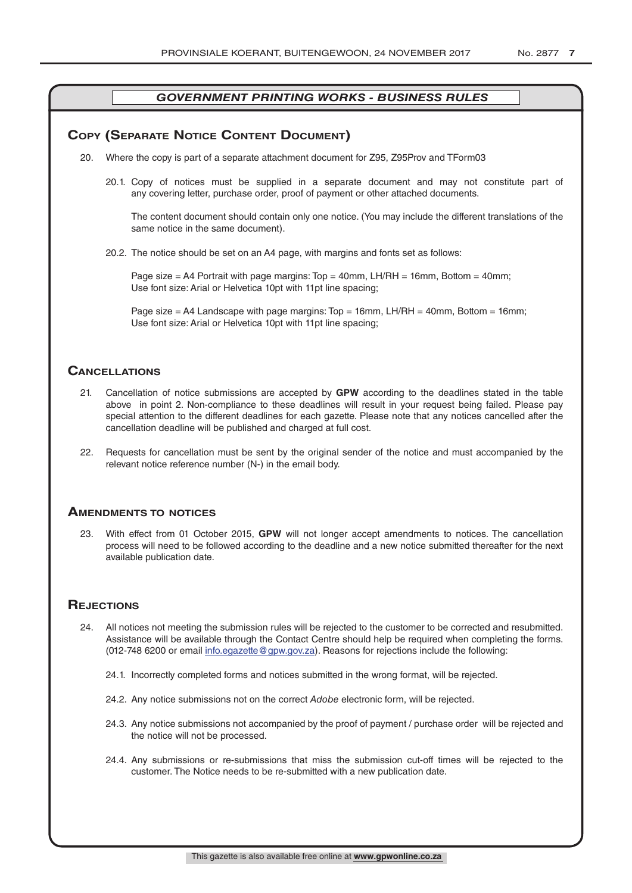# **COPY (SEPARATE NOTICE CONTENT DOCUMENT)**

- 20. Where the copy is part of a separate attachment document for Z95, Z95Prov and TForm03
	- 20.1. Copy of notices must be supplied in a separate document and may not constitute part of any covering letter, purchase order, proof of payment or other attached documents.

The content document should contain only one notice. (You may include the different translations of the same notice in the same document).

20.2. The notice should be set on an A4 page, with margins and fonts set as follows:

Page size  $=$  A4 Portrait with page margins: Top  $=$  40mm, LH/RH  $=$  16mm, Bottom  $=$  40mm; Use font size: Arial or Helvetica 10pt with 11pt line spacing;

Page size = A4 Landscape with page margins:  $Top = 16$ mm, LH/RH = 40mm, Bottom = 16mm; Use font size: Arial or Helvetica 10pt with 11pt line spacing;

## **CAnCellATions**

- 21. Cancellation of notice submissions are accepted by **GPW** according to the deadlines stated in the table above in point 2. Non-compliance to these deadlines will result in your request being failed. Please pay special attention to the different deadlines for each gazette. Please note that any notices cancelled after the cancellation deadline will be published and charged at full cost.
- 22. Requests for cancellation must be sent by the original sender of the notice and must accompanied by the relevant notice reference number (N-) in the email body.

#### **AmendmenTs To noTiCes**

23. With effect from 01 October 2015, **GPW** will not longer accept amendments to notices. The cancellation process will need to be followed according to the deadline and a new notice submitted thereafter for the next available publication date.

# **REJECTIONS**

- 24. All notices not meeting the submission rules will be rejected to the customer to be corrected and resubmitted. Assistance will be available through the Contact Centre should help be required when completing the forms. (012-748 6200 or email info.egazette@gpw.gov.za). Reasons for rejections include the following:
	- 24.1. Incorrectly completed forms and notices submitted in the wrong format, will be rejected.
	- 24.2. Any notice submissions not on the correct *Adobe* electronic form, will be rejected.
	- 24.3. Any notice submissions not accompanied by the proof of payment / purchase order will be rejected and the notice will not be processed.
	- 24.4. Any submissions or re-submissions that miss the submission cut-off times will be rejected to the customer. The Notice needs to be re-submitted with a new publication date.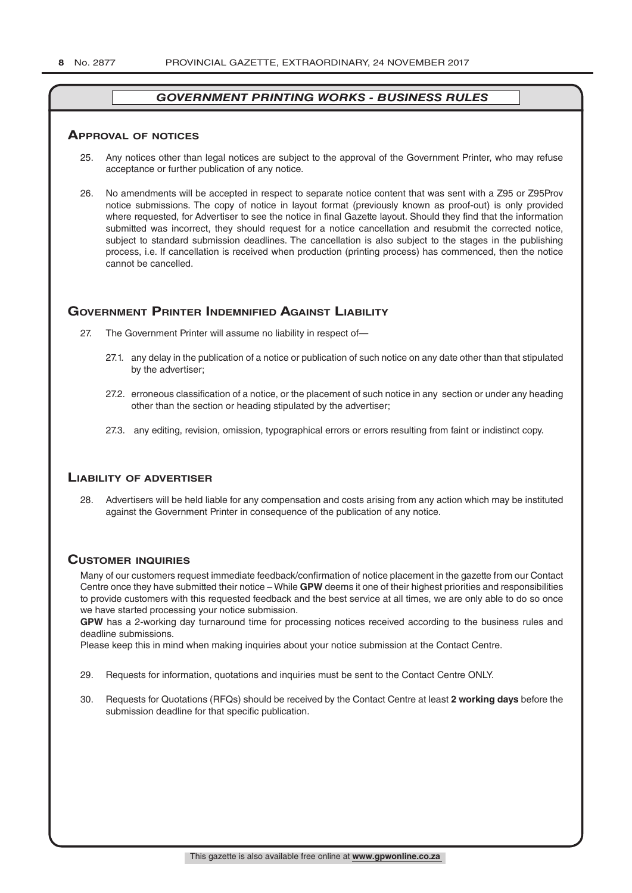#### **ApprovAl of noTiCes**

- 25. Any notices other than legal notices are subject to the approval of the Government Printer, who may refuse acceptance or further publication of any notice.
- 26. No amendments will be accepted in respect to separate notice content that was sent with a Z95 or Z95Prov notice submissions. The copy of notice in layout format (previously known as proof-out) is only provided where requested, for Advertiser to see the notice in final Gazette layout. Should they find that the information submitted was incorrect, they should request for a notice cancellation and resubmit the corrected notice, subject to standard submission deadlines. The cancellation is also subject to the stages in the publishing process, i.e. If cancellation is received when production (printing process) has commenced, then the notice cannot be cancelled.

# **governmenT prinTer indemnified AgAinsT liAbiliTy**

- 27. The Government Printer will assume no liability in respect of—
	- 27.1. any delay in the publication of a notice or publication of such notice on any date other than that stipulated by the advertiser;
	- 27.2. erroneous classification of a notice, or the placement of such notice in any section or under any heading other than the section or heading stipulated by the advertiser;
	- 27.3. any editing, revision, omission, typographical errors or errors resulting from faint or indistinct copy.

#### **liAbiliTy of AdverTiser**

28. Advertisers will be held liable for any compensation and costs arising from any action which may be instituted against the Government Printer in consequence of the publication of any notice.

#### **CusTomer inQuiries**

Many of our customers request immediate feedback/confirmation of notice placement in the gazette from our Contact Centre once they have submitted their notice – While **GPW** deems it one of their highest priorities and responsibilities to provide customers with this requested feedback and the best service at all times, we are only able to do so once we have started processing your notice submission.

**GPW** has a 2-working day turnaround time for processing notices received according to the business rules and deadline submissions.

Please keep this in mind when making inquiries about your notice submission at the Contact Centre.

- 29. Requests for information, quotations and inquiries must be sent to the Contact Centre ONLY.
- 30. Requests for Quotations (RFQs) should be received by the Contact Centre at least **2 working days** before the submission deadline for that specific publication.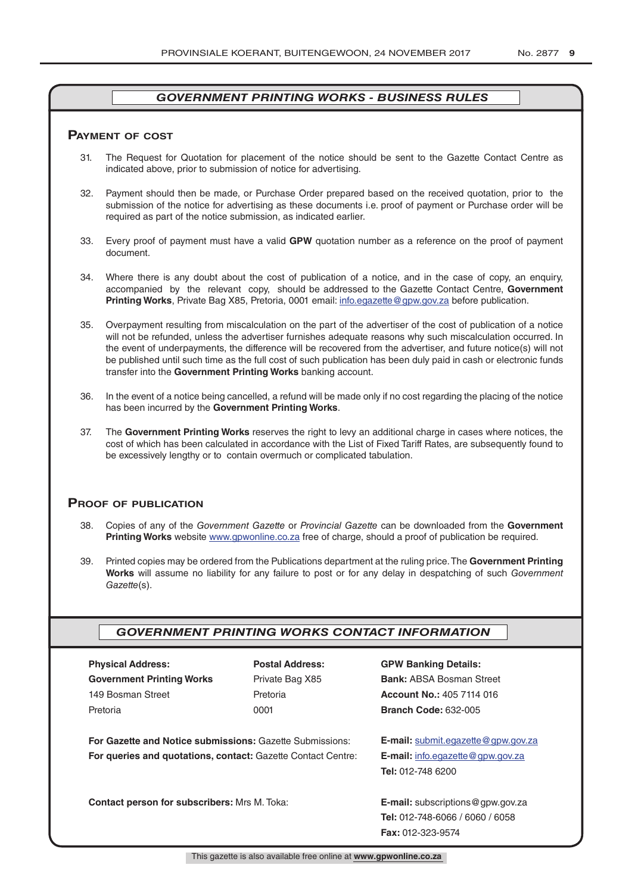#### **pAymenT of CosT**

- 31. The Request for Quotation for placement of the notice should be sent to the Gazette Contact Centre as indicated above, prior to submission of notice for advertising.
- 32. Payment should then be made, or Purchase Order prepared based on the received quotation, prior to the submission of the notice for advertising as these documents i.e. proof of payment or Purchase order will be required as part of the notice submission, as indicated earlier.
- 33. Every proof of payment must have a valid **GPW** quotation number as a reference on the proof of payment document.
- 34. Where there is any doubt about the cost of publication of a notice, and in the case of copy, an enquiry, accompanied by the relevant copy, should be addressed to the Gazette Contact Centre, **Government Printing Works**, Private Bag X85, Pretoria, 0001 email: info.egazette@gpw.gov.za before publication.
- 35. Overpayment resulting from miscalculation on the part of the advertiser of the cost of publication of a notice will not be refunded, unless the advertiser furnishes adequate reasons why such miscalculation occurred. In the event of underpayments, the difference will be recovered from the advertiser, and future notice(s) will not be published until such time as the full cost of such publication has been duly paid in cash or electronic funds transfer into the **Government Printing Works** banking account.
- 36. In the event of a notice being cancelled, a refund will be made only if no cost regarding the placing of the notice has been incurred by the **Government Printing Works**.
- 37. The **Government Printing Works** reserves the right to levy an additional charge in cases where notices, the cost of which has been calculated in accordance with the List of Fixed Tariff Rates, are subsequently found to be excessively lengthy or to contain overmuch or complicated tabulation.

#### **proof of publiCATion**

- 38. Copies of any of the *Government Gazette* or *Provincial Gazette* can be downloaded from the **Government Printing Works** website www.gpwonline.co.za free of charge, should a proof of publication be required.
- 39. Printed copies may be ordered from the Publications department at the ruling price. The **Government Printing Works** will assume no liability for any failure to post or for any delay in despatching of such *Government Gazette*(s).

# *GOVERNMENT PRINTING WORKS CONTACT INFORMATION*

| <b>Physical Address:</b>         |  |  |  |  |
|----------------------------------|--|--|--|--|
| <b>Government Printing Works</b> |  |  |  |  |
| 149 Bosman Street                |  |  |  |  |
| Pretoria                         |  |  |  |  |

**For Gazette and Notice submissions:** Gazette Submissions: **E-mail:** submit.egazette@gpw.gov.za **For queries and quotations, contact:** Gazette Contact Centre: **E-mail:** info.egazette@gpw.gov.za

**Contact person for subscribers:** Mrs M. Toka: **E-mail:** subscriptions@gpw.gov.za

# **Physical Address: Postal Address: GPW Banking Details:**

Private Bag X85 **Bank:** ABSA Bosman Street 149 Bosman Street Pretoria **Account No.:** 405 7114 016 Pretoria 0001 **Branch Code:** 632-005

**Tel:** 012-748 6200

**Tel:** 012-748-6066 / 6060 / 6058 **Fax:** 012-323-9574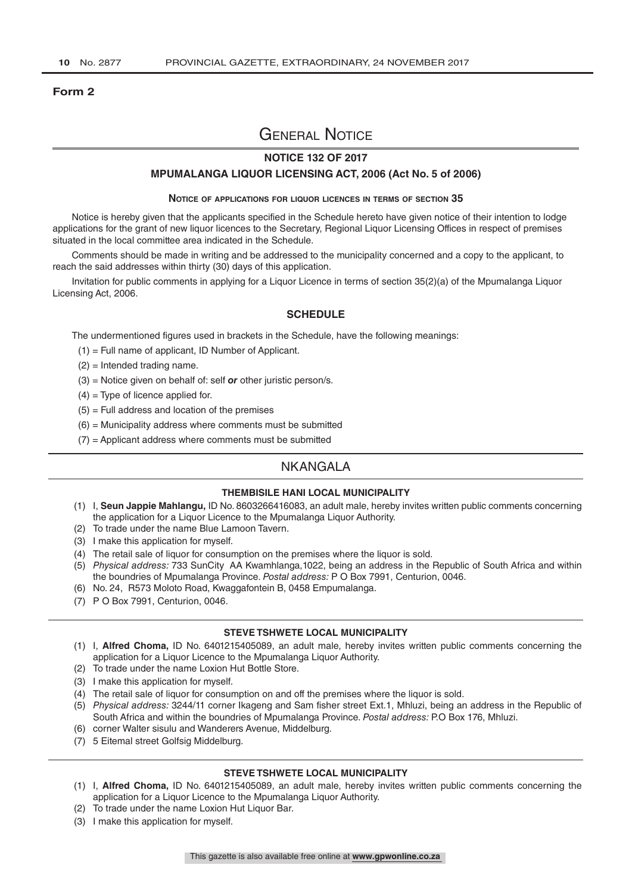#### **Form 2**

# General Notice

### **NOTICE 132 OF 2017**

#### **MPUMALANGA LIQUOR LICENSING ACT, 2006 (Act No. 5 of 2006)**

#### **Notice of applications for liquor licences in terms of section 35**

Notice is hereby given that the applicants specified in the Schedule hereto have given notice of their intention to lodge applications for the grant of new liquor licences to the Secretary, Regional Liquor Licensing Offices in respect of premises situated in the local committee area indicated in the Schedule.

Comments should be made in writing and be addressed to the municipality concerned and a copy to the applicant, to reach the said addresses within thirty (30) days of this application.

Invitation for public comments in applying for a Liquor Licence in terms of section 35(2)(a) of the Mpumalanga Liquor Licensing Act, 2006.

#### **SCHEDULE**

The undermentioned figures used in brackets in the Schedule, have the following meanings:

- (1) = Full name of applicant, ID Number of Applicant.
- (2) = Intended trading name.
- (3) = Notice given on behalf of: self *or* other juristic person/s.
- $(4)$  = Type of licence applied for.
- $(5)$  = Full address and location of the premises
- $(6)$  = Municipality address where comments must be submitted
- $(7)$  = Applicant address where comments must be submitted

# NKANGALA

#### **THEMBISILE HANI LOCAL MUNICIPALITY**

- (1) I, **Seun Jappie Mahlangu,** ID No. 8603266416083, an adult male, hereby invites written public comments concerning the application for a Liquor Licence to the Mpumalanga Liquor Authority.
- (2) To trade under the name Blue Lamoon Tavern.
- (3) I make this application for myself.
- (4) The retail sale of liquor for consumption on the premises where the liquor is sold.
- (5) *Physical address:* 733 SunCity AA Kwamhlanga,1022, being an address in the Republic of South Africa and within the boundries of Mpumalanga Province. *Postal address:* P O Box 7991, Centurion, 0046.
- (6) No. 24, R573 Moloto Road, Kwaggafontein B, 0458 Empumalanga.
- (7) P O Box 7991, Centurion, 0046.

#### **STEVE TSHWETE LOCAL MUNICIPALITY**

- (1) I, **Alfred Choma,** ID No. 6401215405089, an adult male, hereby invites written public comments concerning the application for a Liquor Licence to the Mpumalanga Liquor Authority.
- (2) To trade under the name Loxion Hut Bottle Store.
- (3) I make this application for myself.
- (4) The retail sale of liquor for consumption on and off the premises where the liquor is sold.
- (5) *Physical address:* 3244/11 corner Ikageng and Sam fisher street Ext.1, Mhluzi, being an address in the Republic of South Africa and within the boundries of Mpumalanga Province. *Postal address:* P.O Box 176, Mhluzi.
- (6) corner Walter sisulu and Wanderers Avenue, Middelburg.
- (7) 5 Eitemal street Golfsig Middelburg.

#### **STEVE TSHWETE LOCAL MUNICIPALITY**

- (1) I, **Alfred Choma,** ID No. 6401215405089, an adult male, hereby invites written public comments concerning the application for a Liquor Licence to the Mpumalanga Liquor Authority.
- (2) To trade under the name Loxion Hut Liquor Bar.
- (3) I make this application for myself.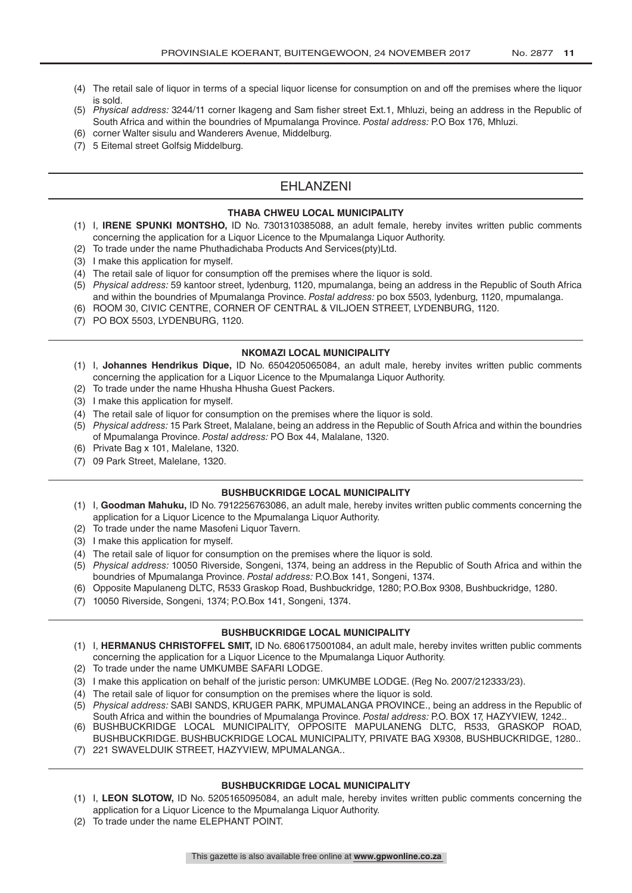- (4) The retail sale of liquor in terms of a special liquor license for consumption on and off the premises where the liquor is sold.
- (5) *Physical address:* 3244/11 corner Ikageng and Sam fisher street Ext.1, Mhluzi, being an address in the Republic of South Africa and within the boundries of Mpumalanga Province. *Postal address:* P.O Box 176, Mhluzi.
- (6) corner Walter sisulu and Wanderers Avenue, Middelburg.
- (7) 5 Eitemal street Golfsig Middelburg.

# EHLANZENI

#### **THABA CHWEU LOCAL MUNICIPALITY**

- (1) I, **IRENE SPUNKI MONTSHO,** ID No. 7301310385088, an adult female, hereby invites written public comments concerning the application for a Liquor Licence to the Mpumalanga Liquor Authority.
- (2) To trade under the name Phuthadichaba Products And Services(pty)Ltd.
- (3) I make this application for myself.
- (4) The retail sale of liquor for consumption off the premises where the liquor is sold.
- (5) *Physical address:* 59 kantoor street, lydenburg, 1120, mpumalanga, being an address in the Republic of South Africa and within the boundries of Mpumalanga Province. *Postal address:* po box 5503, lydenburg, 1120, mpumalanga.
- (6) ROOM 30, CIVIC CENTRE, CORNER OF CENTRAL & VILJOEN STREET, LYDENBURG, 1120.
- (7) PO BOX 5503, LYDENBURG, 1120.

#### **NKOMAZI LOCAL MUNICIPALITY**

- (1) I, **Johannes Hendrikus Dique,** ID No. 6504205065084, an adult male, hereby invites written public comments concerning the application for a Liquor Licence to the Mpumalanga Liquor Authority.
- (2) To trade under the name Hhusha Hhusha Guest Packers.
- (3) I make this application for myself.
- (4) The retail sale of liquor for consumption on the premises where the liquor is sold.
- (5) *Physical address:* 15 Park Street, Malalane, being an address in the Republic of South Africa and within the boundries of Mpumalanga Province. *Postal address:* PO Box 44, Malalane, 1320.
- (6) Private Bag x 101, Malelane, 1320.
- (7) 09 Park Street, Malelane, 1320.

#### **BUSHBUCKRIDGE LOCAL MUNICIPALITY**

- (1) I, **Goodman Mahuku,** ID No. 7912256763086, an adult male, hereby invites written public comments concerning the application for a Liquor Licence to the Mpumalanga Liquor Authority.
- (2) To trade under the name Masofeni Liquor Tavern.
- (3) I make this application for myself.
- (4) The retail sale of liquor for consumption on the premises where the liquor is sold.
- (5) *Physical address:* 10050 Riverside, Songeni, 1374, being an address in the Republic of South Africa and within the boundries of Mpumalanga Province. *Postal address:* P.O.Box 141, Songeni, 1374.
- (6) Opposite Mapulaneng DLTC, R533 Graskop Road, Bushbuckridge, 1280; P.O.Box 9308, Bushbuckridge, 1280.
- (7) 10050 Riverside, Songeni, 1374; P.O.Box 141, Songeni, 1374.

#### **BUSHBUCKRIDGE LOCAL MUNICIPALITY**

- (1) I, **HERMANUS CHRISTOFFEL SMIT,** ID No. 6806175001084, an adult male, hereby invites written public comments concerning the application for a Liquor Licence to the Mpumalanga Liquor Authority.
- (2) To trade under the name UMKUMBE SAFARI LODGE.
- (3) I make this application on behalf of the juristic person: UMKUMBE LODGE. (Reg No. 2007/212333/23).
- (4) The retail sale of liquor for consumption on the premises where the liquor is sold.
- (5) *Physical address:* SABI SANDS, KRUGER PARK, MPUMALANGA PROVINCE., being an address in the Republic of South Africa and within the boundries of Mpumalanga Province. *Postal address:* P.O. BOX 17, HAZYVIEW, 1242..
- (6) BUSHBUCKRIDGE LOCAL MUNICIPALITY, OPPOSITE MAPULANENG DLTC, R533, GRASKOP ROAD, BUSHBUCKRIDGE. BUSHBUCKRIDGE LOCAL MUNICIPALITY, PRIVATE BAG X9308, BUSHBUCKRIDGE, 1280..
- (7) 221 SWAVELDUIK STREET, HAZYVIEW, MPUMALANGA..

#### **BUSHBUCKRIDGE LOCAL MUNICIPALITY**

- (1) I, **LEON SLOTOW,** ID No. 5205165095084, an adult male, hereby invites written public comments concerning the application for a Liquor Licence to the Mpumalanga Liquor Authority.
- (2) To trade under the name ELEPHANT POINT.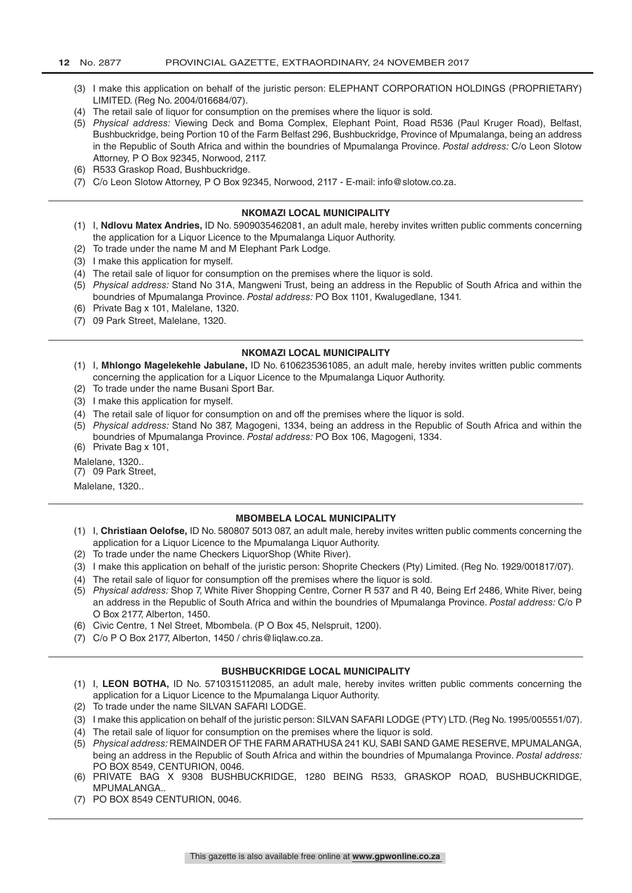- (3) I make this application on behalf of the juristic person: ELEPHANT CORPORATION HOLDINGS (PROPRIETARY) LIMITED. (Reg No. 2004/016684/07).
- (4) The retail sale of liquor for consumption on the premises where the liquor is sold.
- (5) *Physical address:* Viewing Deck and Boma Complex, Elephant Point, Road R536 (Paul Kruger Road), Belfast, Bushbuckridge, being Portion 10 of the Farm Belfast 296, Bushbuckridge, Province of Mpumalanga, being an address in the Republic of South Africa and within the boundries of Mpumalanga Province. *Postal address:* C/o Leon Slotow Attorney, P O Box 92345, Norwood, 2117.
- (6) R533 Graskop Road, Bushbuckridge.
- (7) C/o Leon Slotow Attorney, P O Box 92345, Norwood, 2117 E-mail: info@slotow.co.za.

#### **NKOMAZI LOCAL MUNICIPALITY**

- (1) I, **Ndlovu Matex Andries,** ID No. 5909035462081, an adult male, hereby invites written public comments concerning the application for a Liquor Licence to the Mpumalanga Liquor Authority.
- (2) To trade under the name M and M Elephant Park Lodge.
- (3) I make this application for myself.
- (4) The retail sale of liquor for consumption on the premises where the liquor is sold.
- (5) *Physical address:* Stand No 31A, Mangweni Trust, being an address in the Republic of South Africa and within the boundries of Mpumalanga Province. *Postal address:* PO Box 1101, Kwalugedlane, 1341.
- (6) Private Bag x 101, Malelane, 1320.
- (7) 09 Park Street, Malelane, 1320.

#### **NKOMAZI LOCAL MUNICIPALITY**

- (1) I, **Mhlongo Magelekehle Jabulane,** ID No. 6106235361085, an adult male, hereby invites written public comments concerning the application for a Liquor Licence to the Mpumalanga Liquor Authority.
- (2) To trade under the name Busani Sport Bar.
- (3) I make this application for myself.
- (4) The retail sale of liquor for consumption on and off the premises where the liquor is sold.
- (5) *Physical address:* Stand No 387, Magogeni, 1334, being an address in the Republic of South Africa and within the boundries of Mpumalanga Province. *Postal address:* PO Box 106, Magogeni, 1334. (6) Private Bag x 101,
- Malelane, 1320..
- (7) 09 Park Street,

Malelane, 1320..

#### **MBOMBELA LOCAL MUNICIPALITY**

- (1) I, **Christiaan Oelofse,** ID No. 580807 5013 087, an adult male, hereby invites written public comments concerning the application for a Liquor Licence to the Mpumalanga Liquor Authority.
- (2) To trade under the name Checkers LiquorShop (White River).
- (3) I make this application on behalf of the juristic person: Shoprite Checkers (Pty) Limited. (Reg No. 1929/001817/07).
- (4) The retail sale of liquor for consumption off the premises where the liquor is sold.
- (5) *Physical address:* Shop 7, White River Shopping Centre, Corner R 537 and R 40, Being Erf 2486, White River, being an address in the Republic of South Africa and within the boundries of Mpumalanga Province. *Postal address:* C/o P O Box 2177, Alberton, 1450.
- (6) Civic Centre, 1 Nel Street, Mbombela. (P O Box 45, Nelspruit, 1200).
- (7) C/o P O Box 2177, Alberton, 1450 / chris@liqlaw.co.za.

#### **BUSHBUCKRIDGE LOCAL MUNICIPALITY**

- (1) I, **LEON BOTHA,** ID No. 5710315112085, an adult male, hereby invites written public comments concerning the application for a Liquor Licence to the Mpumalanga Liquor Authority.
- (2) To trade under the name SILVAN SAFARI LODGE.
- (3) I make this application on behalf of the juristic person: SILVAN SAFARI LODGE (PTY) LTD. (Reg No. 1995/005551/07).
- (4) The retail sale of liquor for consumption on the premises where the liquor is sold.
- (5) *Physical address:* REMAINDER OF THE FARM ARATHUSA 241 KU, SABI SAND GAME RESERVE, MPUMALANGA, being an address in the Republic of South Africa and within the boundries of Mpumalanga Province. *Postal address:*  PO BOX 8549, CENTURION, 0046.
- (6) PRIVATE BAG X 9308 BUSHBUCKRIDGE, 1280 BEING R533, GRASKOP ROAD, BUSHBUCKRIDGE, MPUMALANGA..
- (7) PO BOX 8549 CENTURION, 0046.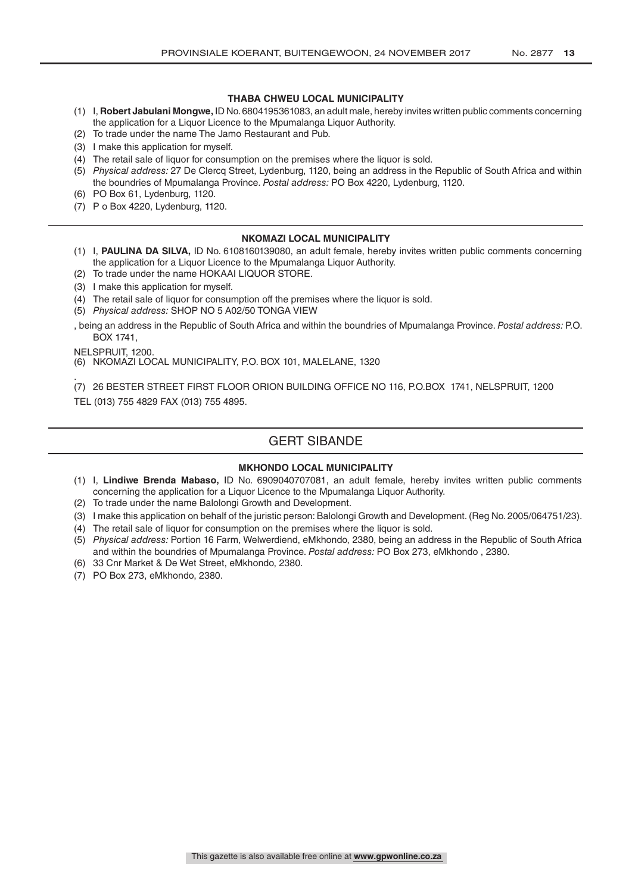#### **THABA CHWEU LOCAL MUNICIPALITY**

- (1) I, **Robert Jabulani Mongwe,** ID No. 6804195361083, an adult male, hereby invites written public comments concerning the application for a Liquor Licence to the Mpumalanga Liquor Authority.
- (2) To trade under the name The Jamo Restaurant and Pub.
- (3) I make this application for myself.
- (4) The retail sale of liquor for consumption on the premises where the liquor is sold.
- (5) *Physical address:* 27 De Clercq Street, Lydenburg, 1120, being an address in the Republic of South Africa and within the boundries of Mpumalanga Province. *Postal address:* PO Box 4220, Lydenburg, 1120.
- (6) PO Box 61, Lydenburg, 1120.
- (7) P o Box 4220, Lydenburg, 1120.

#### **NKOMAZI LOCAL MUNICIPALITY**

- (1) I, **PAULINA DA SILVA,** ID No. 6108160139080, an adult female, hereby invites written public comments concerning the application for a Liquor Licence to the Mpumalanga Liquor Authority.
- (2) To trade under the name HOKAAI LIQUOR STORE.
- (3) I make this application for myself.
- (4) The retail sale of liquor for consumption off the premises where the liquor is sold.
- (5) *Physical address:* SHOP NO 5 A02/50 TONGA VIEW

, being an address in the Republic of South Africa and within the boundries of Mpumalanga Province. *Postal address:* P.O. BOX 1741,

NELSPRUIT, 1200.

(6) NKOMAZI LOCAL MUNICIPALITY, P.O. BOX 101, MALELANE, 1320

. (7) 26 BESTER STREET FIRST FLOOR ORION BUILDING OFFICE NO 116, P.O.BOX 1741, NELSPRUIT, 1200 TEL (013) 755 4829 FAX (013) 755 4895.

# GERT SIBANDE

#### **MKHONDO LOCAL MUNICIPALITY**

- (1) I, **Lindiwe Brenda Mabaso,** ID No. 6909040707081, an adult female, hereby invites written public comments concerning the application for a Liquor Licence to the Mpumalanga Liquor Authority.
- (2) To trade under the name Balolongi Growth and Development.
- (3) I make this application on behalf of the juristic person: Balolongi Growth and Development. (Reg No. 2005/064751/23).
- (4) The retail sale of liquor for consumption on the premises where the liquor is sold.
- (5) *Physical address:* Portion 16 Farm, Welwerdiend, eMkhondo, 2380, being an address in the Republic of South Africa and within the boundries of Mpumalanga Province. *Postal address:* PO Box 273, eMkhondo , 2380.
- (6) 33 Cnr Market & De Wet Street, eMkhondo, 2380.
- (7) PO Box 273, eMkhondo, 2380.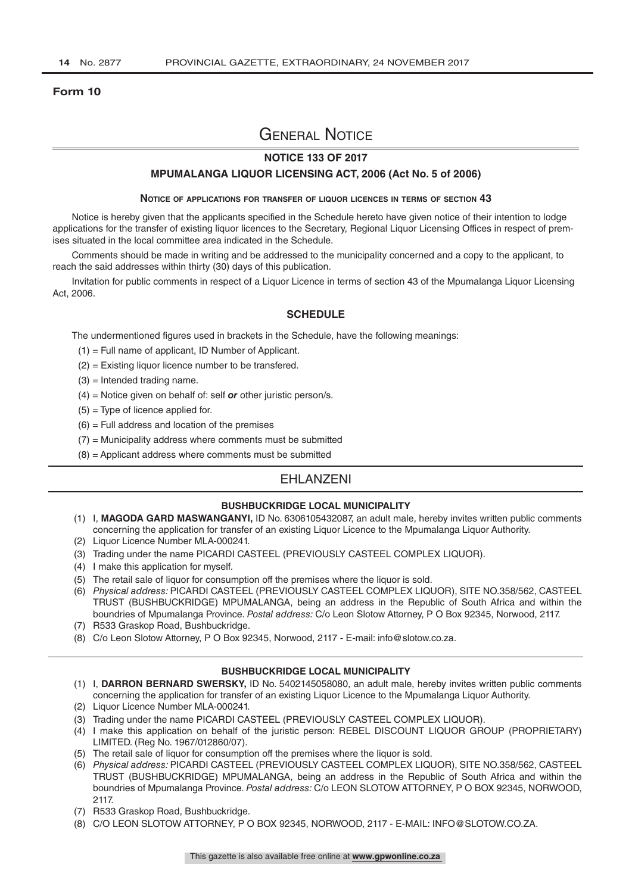#### **Form 10**

# General Notice

### **NOTICE 133 OF 2017**

#### **MPUMALANGA LIQUOR LICENSING ACT, 2006 (Act No. 5 of 2006)**

#### **Notice of applications for transfer of liquor licences in terms of section 43**

Notice is hereby given that the applicants specified in the Schedule hereto have given notice of their intention to lodge applications for the transfer of existing liquor licences to the Secretary, Regional Liquor Licensing Offices in respect of premises situated in the local committee area indicated in the Schedule.

Comments should be made in writing and be addressed to the municipality concerned and a copy to the applicant, to reach the said addresses within thirty (30) days of this publication.

Invitation for public comments in respect of a Liquor Licence in terms of section 43 of the Mpumalanga Liquor Licensing Act, 2006.

#### **SCHEDULE**

The undermentioned figures used in brackets in the Schedule, have the following meanings:

- (1) = Full name of applicant, ID Number of Applicant.
- (2) = Existing liquor licence number to be transfered.
- $(3)$  = Intended trading name.
- (4) = Notice given on behalf of: self *or* other juristic person/s.
- $(5)$  = Type of licence applied for.
- $(6)$  = Full address and location of the premises
- $(7)$  = Municipality address where comments must be submitted
- (8) = Applicant address where comments must be submitted

### EHLANZENI

#### **BUSHBUCKRIDGE LOCAL MUNICIPALITY**

- (1) I, **MAGODA GARD MASWANGANYI,** ID No. 6306105432087, an adult male, hereby invites written public comments concerning the application for transfer of an existing Liquor Licence to the Mpumalanga Liquor Authority.
- (2) Liquor Licence Number MLA-000241.
- (3) Trading under the name PICARDI CASTEEL (PREVIOUSLY CASTEEL COMPLEX LIQUOR).
- (4) I make this application for myself.
- (5) The retail sale of liquor for consumption off the premises where the liquor is sold.
- (6) *Physical address:* PICARDI CASTEEL (PREVIOUSLY CASTEEL COMPLEX LIQUOR), SITE NO.358/562, CASTEEL TRUST (BUSHBUCKRIDGE) MPUMALANGA, being an address in the Republic of South Africa and within the boundries of Mpumalanga Province. *Postal address:* C/o Leon Slotow Attorney, P O Box 92345, Norwood, 2117.
- (7) R533 Graskop Road, Bushbuckridge.
- (8) C/o Leon Slotow Attorney, P O Box 92345, Norwood, 2117 E-mail: info@slotow.co.za.

#### **BUSHBUCKRIDGE LOCAL MUNICIPALITY**

- (1) I, **DARRON BERNARD SWERSKY,** ID No. 5402145058080, an adult male, hereby invites written public comments concerning the application for transfer of an existing Liquor Licence to the Mpumalanga Liquor Authority.
- (2) Liquor Licence Number MLA-000241.
- (3) Trading under the name PICARDI CASTEEL (PREVIOUSLY CASTEEL COMPLEX LIQUOR).
- (4) I make this application on behalf of the juristic person: REBEL DISCOUNT LIQUOR GROUP (PROPRIETARY) LIMITED. (Reg No. 1967/012860/07).
- (5) The retail sale of liquor for consumption off the premises where the liquor is sold.
- (6) *Physical address:* PICARDI CASTEEL (PREVIOUSLY CASTEEL COMPLEX LIQUOR), SITE NO.358/562, CASTEEL TRUST (BUSHBUCKRIDGE) MPUMALANGA, being an address in the Republic of South Africa and within the boundries of Mpumalanga Province. *Postal address:* C/o LEON SLOTOW ATTORNEY, P O BOX 92345, NORWOOD, 2117.
- (7) R533 Graskop Road, Bushbuckridge.
- (8) C/O LEON SLOTOW ATTORNEY, P O BOX 92345, NORWOOD, 2117 E-MAIL: INFO@SLOTOW.CO.ZA.